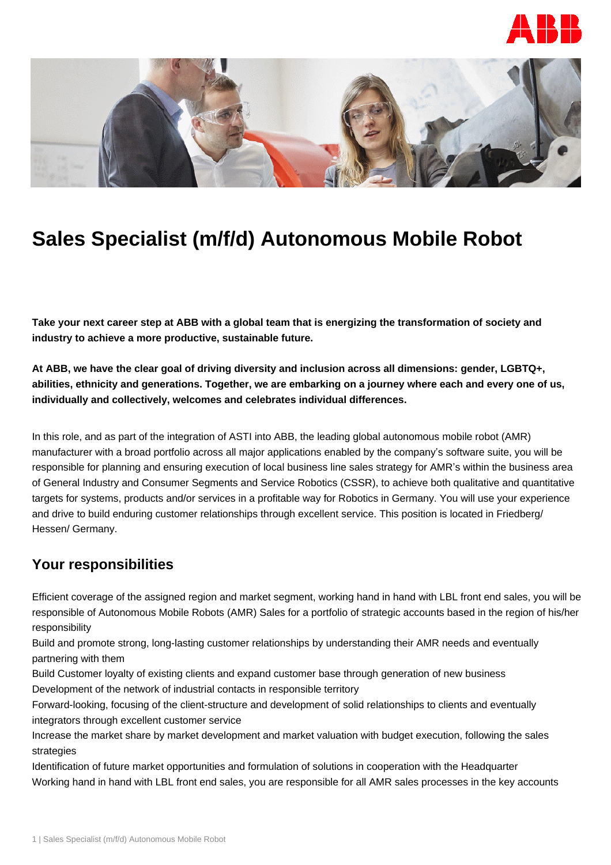



# **Sales Specialist (m/f/d) Autonomous Mobile Robot**

**Take your next career step at ABB with a global team that is energizing the transformation of society and industry to achieve a more productive, sustainable future.**

**At ABB, we have the clear goal of driving diversity and inclusion across all dimensions: gender, LGBTQ+, abilities, ethnicity and generations. Together, we are embarking on a journey where each and every one of us, individually and collectively, welcomes and celebrates individual differences.**

In this role, and as part of the integration of ASTI into ABB, the leading global autonomous mobile robot (AMR) manufacturer with a broad portfolio across all major applications enabled by the company's software suite, you will be responsible for planning and ensuring execution of local business line sales strategy for AMR's within the business area of General Industry and Consumer Segments and Service Robotics (CSSR), to achieve both qualitative and quantitative targets for systems, products and/or services in a profitable way for Robotics in Germany. You will use your experience and drive to build enduring customer relationships through excellent service. This position is located in Friedberg/ Hessen/ Germany.

### **Your responsibilities**

Efficient coverage of the assigned region and market segment, working hand in hand with LBL front end sales, you will be responsible of Autonomous Mobile Robots (AMR) Sales for a portfolio of strategic accounts based in the region of his/her responsibility

Build and promote strong, long-lasting customer relationships by understanding their AMR needs and eventually partnering with them

Build Customer loyalty of existing clients and expand customer base through generation of new business Development of the network of industrial contacts in responsible territory

Forward-looking, focusing of the client-structure and development of solid relationships to clients and eventually integrators through excellent customer service

Increase the market share by market development and market valuation with budget execution, following the sales strategies

Identification of future market opportunities and formulation of solutions in cooperation with the Headquarter Working hand in hand with LBL front end sales, you are responsible for all AMR sales processes in the key accounts